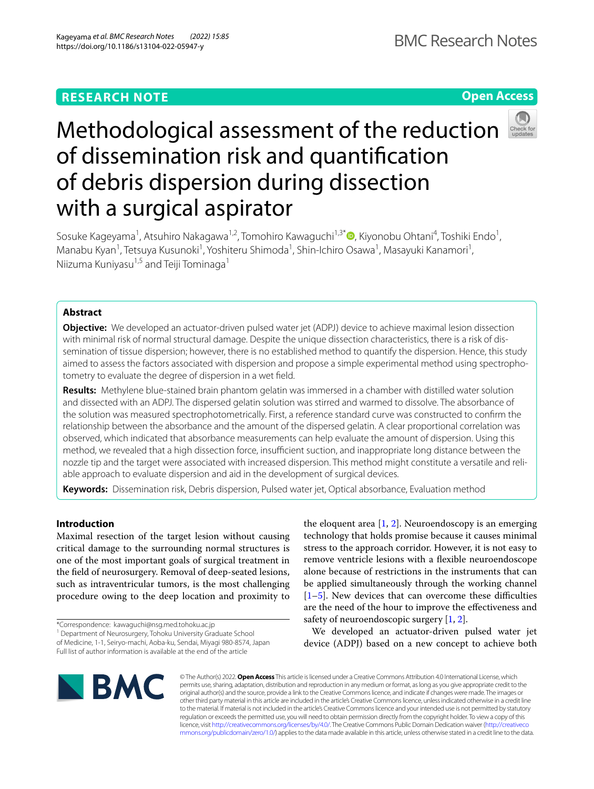# **RESEARCH NOTE**

**Open Access**

# Methodological assessment of the reduction of dissemination risk and quantifcation of debris dispersion during dissection with a surgical aspirator

Sosuke Kageyama<sup>1</sup>, Atsuhiro Nakagawa<sup>1,2</sup>, Tomohiro Kawaguchi<sup>1,3[\\*](http://orcid.org/0000-0001-7622-1270)</sup> (D, Kiyonobu Ohtani<sup>4</sup>, Toshiki Endo<sup>1</sup>, Manabu Kyan<sup>1</sup>, Tetsuya Kusunoki<sup>1</sup>, Yoshiteru Shimoda<sup>1</sup>, Shin-Ichiro Osawa<sup>1</sup>, Masayuki Kanamori<sup>1</sup>, Niizuma Kuniyasu $^{1,5}$  and Teiji Tominaga $^1$ 

# **Abstract**

**Objective:** We developed an actuator-driven pulsed water jet (ADPJ) device to achieve maximal lesion dissection with minimal risk of normal structural damage. Despite the unique dissection characteristics, there is a risk of dissemination of tissue dispersion; however, there is no established method to quantify the dispersion. Hence, this study aimed to assess the factors associated with dispersion and propose a simple experimental method using spectrophotometry to evaluate the degree of dispersion in a wet feld.

**Results:** Methylene blue-stained brain phantom gelatin was immersed in a chamber with distilled water solution and dissected with an ADPJ. The dispersed gelatin solution was stirred and warmed to dissolve. The absorbance of the solution was measured spectrophotometrically. First, a reference standard curve was constructed to confrm the relationship between the absorbance and the amount of the dispersed gelatin. A clear proportional correlation was observed, which indicated that absorbance measurements can help evaluate the amount of dispersion. Using this method, we revealed that a high dissection force, insufficient suction, and inappropriate long distance between the nozzle tip and the target were associated with increased dispersion. This method might constitute a versatile and reliable approach to evaluate dispersion and aid in the development of surgical devices.

**Keywords:** Dissemination risk, Debris dispersion, Pulsed water jet, Optical absorbance, Evaluation method

# **Introduction**

Maximal resection of the target lesion without causing critical damage to the surrounding normal structures is one of the most important goals of surgical treatment in the feld of neurosurgery. Removal of deep-seated lesions, such as intraventricular tumors, is the most challenging procedure owing to the deep location and proximity to

\*Correspondence: kawaguchi@nsg.med.tohoku.ac.jp

<sup>1</sup> Department of Neurosurgery, Tohoku University Graduate School of Medicine, 1‑1, Seiryo‑machi, Aoba‑ku, Sendai, Miyagi 980‑8574, Japan Full list of author information is available at the end of the article

the eloquent area  $[1, 2]$  $[1, 2]$  $[1, 2]$  $[1, 2]$ . Neuroendoscopy is an emerging technology that holds promise because it causes minimal stress to the approach corridor. However, it is not easy to remove ventricle lesions with a fexible neuroendoscope alone because of restrictions in the instruments that can be applied simultaneously through the working channel  $[1–5]$  $[1–5]$  $[1–5]$ . New devices that can overcome these difficulties are the need of the hour to improve the efectiveness and safety of neuroendoscopic surgery [\[1](#page-4-0), [2\]](#page-4-1).

We developed an actuator-driven pulsed water jet device (ADPJ) based on a new concept to achieve both



© The Author(s) 2022. **Open Access** This article is licensed under a Creative Commons Attribution 4.0 International License, which permits use, sharing, adaptation, distribution and reproduction in any medium or format, as long as you give appropriate credit to the original author(s) and the source, provide a link to the Creative Commons licence, and indicate if changes were made. The images or other third party material in this article are included in the article's Creative Commons licence, unless indicated otherwise in a credit line to the material. If material is not included in the article's Creative Commons licence and your intended use is not permitted by statutory regulation or exceeds the permitted use, you will need to obtain permission directly from the copyright holder. To view a copy of this licence, visit [http://creativecommons.org/licenses/by/4.0/.](http://creativecommons.org/licenses/by/4.0/) The Creative Commons Public Domain Dedication waiver ([http://creativeco](http://creativecommons.org/publicdomain/zero/1.0/) [mmons.org/publicdomain/zero/1.0/](http://creativecommons.org/publicdomain/zero/1.0/)) applies to the data made available in this article, unless otherwise stated in a credit line to the data.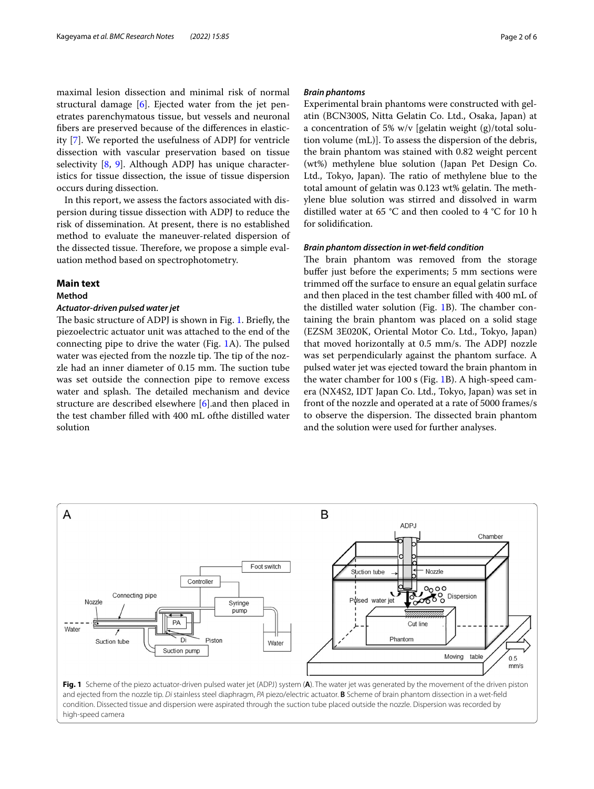maximal lesion dissection and minimal risk of normal structural damage [[6\]](#page-5-1). Ejected water from the jet penetrates parenchymatous tissue, but vessels and neuronal fbers are preserved because of the diferences in elasticity [\[7](#page-5-2)]. We reported the usefulness of ADPJ for ventricle dissection with vascular preservation based on tissue selectivity [[8](#page-5-3), [9](#page-5-4)]. Although ADPJ has unique characteristics for tissue dissection, the issue of tissue dispersion occurs during dissection.

In this report, we assess the factors associated with dispersion during tissue dissection with ADPJ to reduce the risk of dissemination. At present, there is no established method to evaluate the maneuver-related dispersion of the dissected tissue. Therefore, we propose a simple evaluation method based on spectrophotometry.

# **Main text**

# **Method**

# *Actuator‑driven pulsed water jet*

The basic structure of ADPJ is shown in Fig. [1](#page-1-0). Briefly, the piezoelectric actuator unit was attached to the end of the connecting pipe to drive the water (Fig.  $1A$ ). The pulsed water was ejected from the nozzle tip. The tip of the nozzle had an inner diameter of 0.15 mm. The suction tube was set outside the connection pipe to remove excess water and splash. The detailed mechanism and device structure are described elsewhere [[6](#page-5-1)].and then placed in the test chamber flled with 400 mL ofthe distilled water solution

# *Brain phantoms*

Experimental brain phantoms were constructed with gelatin (BCN300S, Nitta Gelatin Co. Ltd., Osaka, Japan) at a concentration of 5% w/v [gelatin weight (g)/total solution volume (mL)]. To assess the dispersion of the debris, the brain phantom was stained with 0.82 weight percent (wt%) methylene blue solution (Japan Pet Design Co. Ltd., Tokyo, Japan). The ratio of methylene blue to the total amount of gelatin was 0.123 wt% gelatin. The methylene blue solution was stirred and dissolved in warm distilled water at 65 °C and then cooled to 4 °C for 10 h for solidifcation.

# *Brain phantom dissection in wet‑feld condition*

The brain phantom was removed from the storage bufer just before the experiments; 5 mm sections were trimmed off the surface to ensure an equal gelatin surface and then placed in the test chamber flled with 400 mL of the distilled water solution (Fig. [1B](#page-1-0)). The chamber containing the brain phantom was placed on a solid stage (EZSM 3E020K, Oriental Motor Co. Ltd., Tokyo, Japan) that moved horizontally at 0.5 mm/s. The ADPJ nozzle was set perpendicularly against the phantom surface. A pulsed water jet was ejected toward the brain phantom in the water chamber for 100 s (Fig. [1B](#page-1-0)). A high-speed camera (NX4S2, IDT Japan Co. Ltd., Tokyo, Japan) was set in front of the nozzle and operated at a rate of 5000 frames/s to observe the dispersion. The dissected brain phantom and the solution were used for further analyses.

<span id="page-1-0"></span>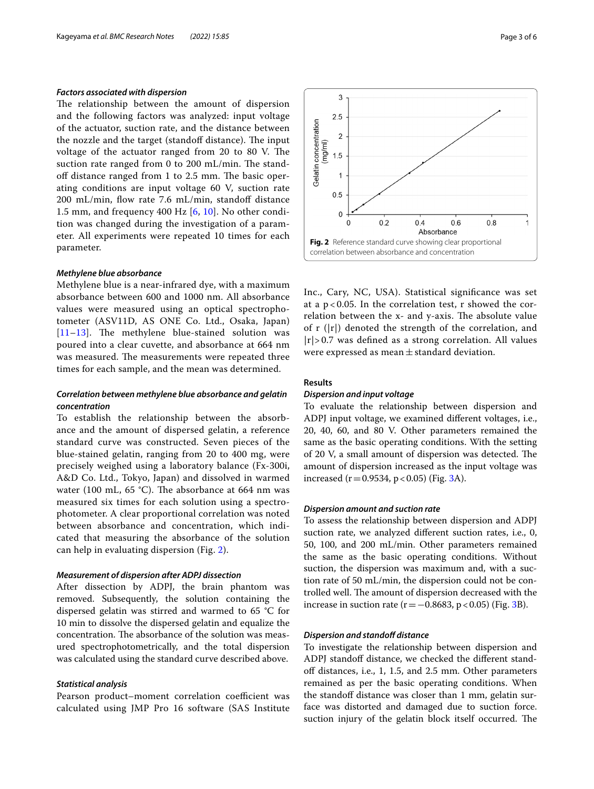# *Factors associated with dispersion*

The relationship between the amount of dispersion and the following factors was analyzed: input voltage of the actuator, suction rate, and the distance between the nozzle and the target (standoff distance). The input voltage of the actuator ranged from 20 to 80 V. The suction rate ranged from 0 to 200 mL/min. The standoff distance ranged from 1 to 2.5 mm. The basic operating conditions are input voltage 60 V, suction rate 200 mL/min, flow rate 7.6 mL/min, standoff distance 1.5 mm, and frequency 400 Hz [\[6,](#page-5-1) [10\]](#page-5-5). No other condition was changed during the investigation of a parameter. All experiments were repeated 10 times for each parameter.

# *Methylene blue absorbance*

Methylene blue is a near-infrared dye, with a maximum absorbance between 600 and 1000 nm. All absorbance values were measured using an optical spectrophotometer (ASV11D, AS ONE Co. Ltd., Osaka, Japan)  $[11–13]$  $[11–13]$  $[11–13]$  $[11–13]$ . The methylene blue-stained solution was poured into a clear cuvette, and absorbance at 664 nm was measured. The measurements were repeated three times for each sample, and the mean was determined.

# *Correlation between methylene blue absorbance and gelatin concentration*

To establish the relationship between the absorbance and the amount of dispersed gelatin, a reference standard curve was constructed. Seven pieces of the blue-stained gelatin, ranging from 20 to 400 mg, were precisely weighed using a laboratory balance (Fx-300i, A&D Co. Ltd., Tokyo, Japan) and dissolved in warmed water (100 mL, 65 °C). The absorbance at 664 nm was measured six times for each solution using a spectrophotometer. A clear proportional correlation was noted between absorbance and concentration, which indicated that measuring the absorbance of the solution can help in evaluating dispersion (Fig. [2\)](#page-2-0).

# *Measurement of dispersion after ADPJ dissection*

After dissection by ADPJ, the brain phantom was removed. Subsequently, the solution containing the dispersed gelatin was stirred and warmed to 65 °C for 10 min to dissolve the dispersed gelatin and equalize the concentration. The absorbance of the solution was measured spectrophotometrically, and the total dispersion was calculated using the standard curve described above.

# *Statistical analysis*

Pearson product–moment correlation coefficient was calculated using JMP Pro 16 software (SAS Institute



<span id="page-2-0"></span>Inc., Cary, NC, USA). Statistical signifcance was set at a  $p < 0.05$ . In the correlation test, r showed the correlation between the x- and y-axis. The absolute value of r  $(|r|)$  denoted the strength of the correlation, and  $|r| > 0.7$  was defined as a strong correlation. All values were expressed as mean $\pm$ standard deviation.

# **Results**

# *Dispersion and input voltage*

To evaluate the relationship between dispersion and ADPJ input voltage, we examined diferent voltages, i.e., 20, 40, 60, and 80 V. Other parameters remained the same as the basic operating conditions. With the setting of 20 V, a small amount of dispersion was detected. The amount of dispersion increased as the input voltage was increased ( $r = 0.9534$ ,  $p < 0.05$ ) (Fig. [3](#page-3-0)A).

# *Dispersion amount and suction rate*

To assess the relationship between dispersion and ADPJ suction rate, we analyzed diferent suction rates, i.e., 0, 50, 100, and 200 mL/min. Other parameters remained the same as the basic operating conditions. Without suction, the dispersion was maximum and, with a suction rate of 50 mL/min, the dispersion could not be controlled well. The amount of dispersion decreased with the increase in suction rate ( $r = −0.8683$  $r = −0.8683$ ,  $p < 0.05$ ) (Fig. 3B).

# *Dispersion and standof distance*

To investigate the relationship between dispersion and ADPJ standoff distance, we checked the different standoff distances, i.e., 1, 1.5, and 2.5 mm. Other parameters remained as per the basic operating conditions. When the standoff distance was closer than 1 mm, gelatin surface was distorted and damaged due to suction force. suction injury of the gelatin block itself occurred. The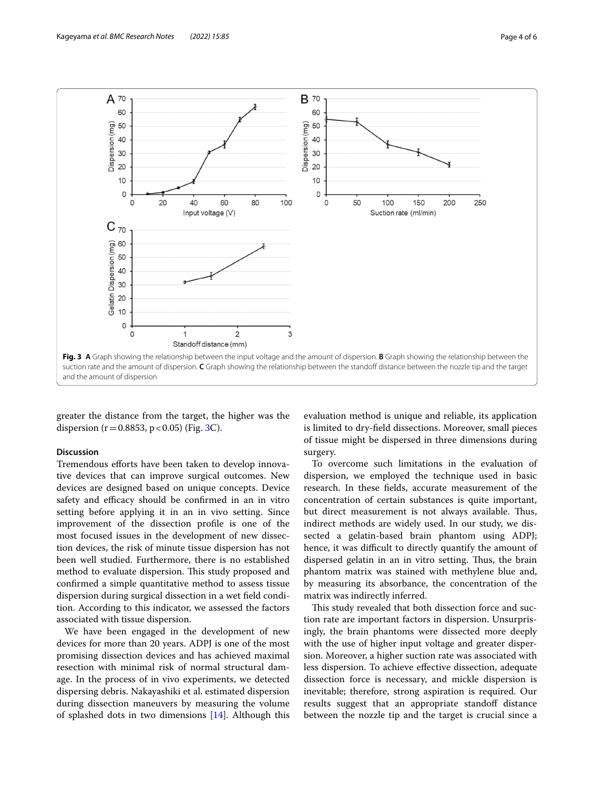

<span id="page-3-0"></span>greater the distance from the target, the higher was the dispersion ( $r = 0.8853$ ,  $p < 0.05$ ) (Fig. [3C](#page-3-0)).

# **Discussion**

Tremendous efforts have been taken to develop innovative devices that can improve surgical outcomes. New devices are designed based on unique concepts. Device safety and efficacy should be confirmed in an in vitro setting before applying it in an in vivo setting. Since improvement of the dissection profle is one of the most focused issues in the development of new dissection devices, the risk of minute tissue dispersion has not been well studied. Furthermore, there is no established method to evaluate dispersion. This study proposed and confrmed a simple quantitative method to assess tissue dispersion during surgical dissection in a wet feld condition. According to this indicator, we assessed the factors associated with tissue dispersion.

We have been engaged in the development of new devices for more than 20 years. ADPJ is one of the most promising dissection devices and has achieved maximal resection with minimal risk of normal structural damage. In the process of in vivo experiments, we detected dispersing debris. Nakayashiki et al. estimated dispersion during dissection maneuvers by measuring the volume of splashed dots in two dimensions [[14\]](#page-5-8). Although this

evaluation method is unique and reliable, its application is limited to dry-feld dissections. Moreover, small pieces of tissue might be dispersed in three dimensions during surgery.

To overcome such limitations in the evaluation of dispersion, we employed the technique used in basic research. In these felds, accurate measurement of the concentration of certain substances is quite important, but direct measurement is not always available. Thus, indirect methods are widely used. In our study, we dissected a gelatin-based brain phantom using ADPJ; hence, it was difficult to directly quantify the amount of dispersed gelatin in an in vitro setting. Thus, the brain phantom matrix was stained with methylene blue and, by measuring its absorbance, the concentration of the matrix was indirectly inferred.

This study revealed that both dissection force and suction rate are important factors in dispersion. Unsurprisingly, the brain phantoms were dissected more deeply with the use of higher input voltage and greater dispersion. Moreover, a higher suction rate was associated with less dispersion. To achieve efective dissection, adequate dissection force is necessary, and mickle dispersion is inevitable; therefore, strong aspiration is required. Our results suggest that an appropriate standoff distance between the nozzle tip and the target is crucial since a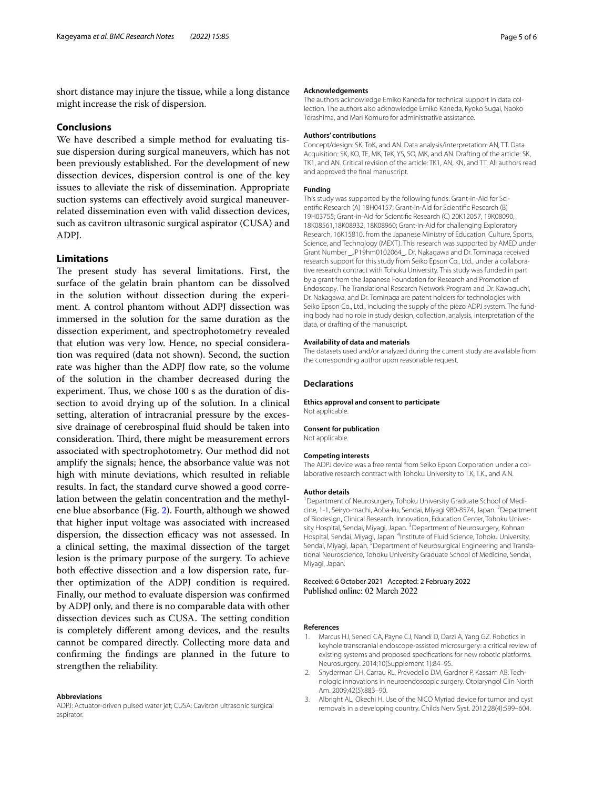short distance may injure the tissue, while a long distance might increase the risk of dispersion.

# **Conclusions**

We have described a simple method for evaluating tissue dispersion during surgical maneuvers, which has not been previously established. For the development of new dissection devices, dispersion control is one of the key issues to alleviate the risk of dissemination. Appropriate suction systems can efectively avoid surgical maneuverrelated dissemination even with valid dissection devices, such as cavitron ultrasonic surgical aspirator (CUSA) and ADPJ.

# **Limitations**

The present study has several limitations. First, the surface of the gelatin brain phantom can be dissolved in the solution without dissection during the experiment. A control phantom without ADPJ dissection was immersed in the solution for the same duration as the dissection experiment, and spectrophotometry revealed that elution was very low. Hence, no special consideration was required (data not shown). Second, the suction rate was higher than the ADPJ flow rate, so the volume of the solution in the chamber decreased during the experiment. Thus, we chose 100 s as the duration of dissection to avoid drying up of the solution. In a clinical setting, alteration of intracranial pressure by the excessive drainage of cerebrospinal fuid should be taken into consideration. Third, there might be measurement errors associated with spectrophotometry. Our method did not amplify the signals; hence, the absorbance value was not high with minute deviations, which resulted in reliable results. In fact, the standard curve showed a good correlation between the gelatin concentration and the methylene blue absorbance (Fig. [2](#page-2-0)). Fourth, although we showed that higher input voltage was associated with increased dispersion, the dissection efficacy was not assessed. In a clinical setting, the maximal dissection of the target lesion is the primary purpose of the surgery. To achieve both effective dissection and a low dispersion rate, further optimization of the ADPJ condition is required. Finally, our method to evaluate dispersion was confrmed by ADPJ only, and there is no comparable data with other dissection devices such as CUSA. The setting condition is completely diferent among devices, and the results cannot be compared directly. Collecting more data and confrming the fndings are planned in the future to strengthen the reliability.

#### **Abbreviations**

ADPJ: Actuator-driven pulsed water jet; CUSA: Cavitron ultrasonic surgical aspirator.

#### **Acknowledgements**

The authors acknowledge Emiko Kaneda for technical support in data collection. The authors also acknowledge Emiko Kaneda, Kyoko Sugai, Naoko Terashima, and Mari Komuro for administrative assistance.

# **Authors' contributions**

Concept/design: SK, ToK, and AN. Data analysis/interpretation: AN, TT. Data Acquisition: SK, KO, TE, MK, TeK, YS, SO, MK, and AN. Drafting of the article: SK, TK1, and AN. Critical revision of the article: TK1, AN, KN, and TT. All authors read and approved the fnal manuscript.

### **Funding**

This study was supported by the following funds: Grant-in-Aid for Scientifc Research (A) 18H04157; Grant-in-Aid for Scientifc Research (B) 19H03755; Grant-in-Aid for Scientifc Research (C) 20K12057, 19K08090, 18K08561,18K08932, 18K08960; Grant-in-Aid for challenging Exploratory Research, 16K15810, from the Japanese Ministry of Education, Culture, Sports, Science, and Technology (MEXT). This research was supported by AMED under Grant Number \_JP19hm0102064\_. Dr. Nakagawa and Dr. Tominaga received research support for this study from Seiko Epson Co., Ltd., under a collaborative research contract with Tohoku University. This study was funded in part by a grant from the Japanese Foundation for Research and Promotion of Endoscopy. The Translational Research Network Program and Dr. Kawaguchi, Dr. Nakagawa, and Dr. Tominaga are patent holders for technologies with Seiko Epson Co., Ltd., including the supply of the piezo ADPJ system. The funding body had no role in study design, collection, analysis, interpretation of the data, or drafting of the manuscript.

#### **Availability of data and materials**

The datasets used and/or analyzed during the current study are available from the corresponding author upon reasonable request.

### **Declarations**

# **Ethics approval and consent to participate**

Not applicable.

### **Consent for publication**

Not applicable.

#### **Competing interests**

The ADPJ device was a free rental from Seiko Epson Corporation under a collaborative research contract with Tohoku University to T.K, T.K., and A.N.

### **Author details**

<sup>1</sup> Department of Neurosurgery, Tohoku University Graduate School of Medicine, 1-1, Seiryo-machi, Aoba-ku, Sendai, Miyagi 980-8574, Japan. <sup>2</sup>Department of Biodesign, Clinical Research, Innovation, Education Center, Tohoku University Hospital, Sendai, Miyagi, Japan. <sup>3</sup> Department of Neurosurgery, Kohnan Hospital, Sendai, Miyagi, Japan. <sup>4</sup>Institute of Fluid Science, Tohoku University, Sendai, Miyagi, Japan. <sup>5</sup> Department of Neurosurgical Engineering and Translational Neuroscience, Tohoku University Graduate School of Medicine, Sendai, Miyagi, Japan.

Received: 6 October 2021 Accepted: 2 February 2022 Published online: 02 March 2022

#### **References**

- <span id="page-4-0"></span>1. Marcus HJ, Seneci CA, Payne CJ, Nandi D, Darzi A, Yang GZ. Robotics in keyhole transcranial endoscope-assisted microsurgery: a critical review of existing systems and proposed specifcations for new robotic platforms. Neurosurgery. 2014;10(Supplement 1):84–95.
- <span id="page-4-1"></span>2. Snyderman CH, Carrau RL, Prevedello DM, Gardner P, Kassam AB. Technologic innovations in neuroendoscopic surgery. Otolaryngol Clin North Am. 2009;42(5):883–90.
- 3. Albright AL, Okechi H. Use of the NICO Myriad device for tumor and cyst removals in a developing country. Childs Nerv Syst. 2012;28(4):599–604.